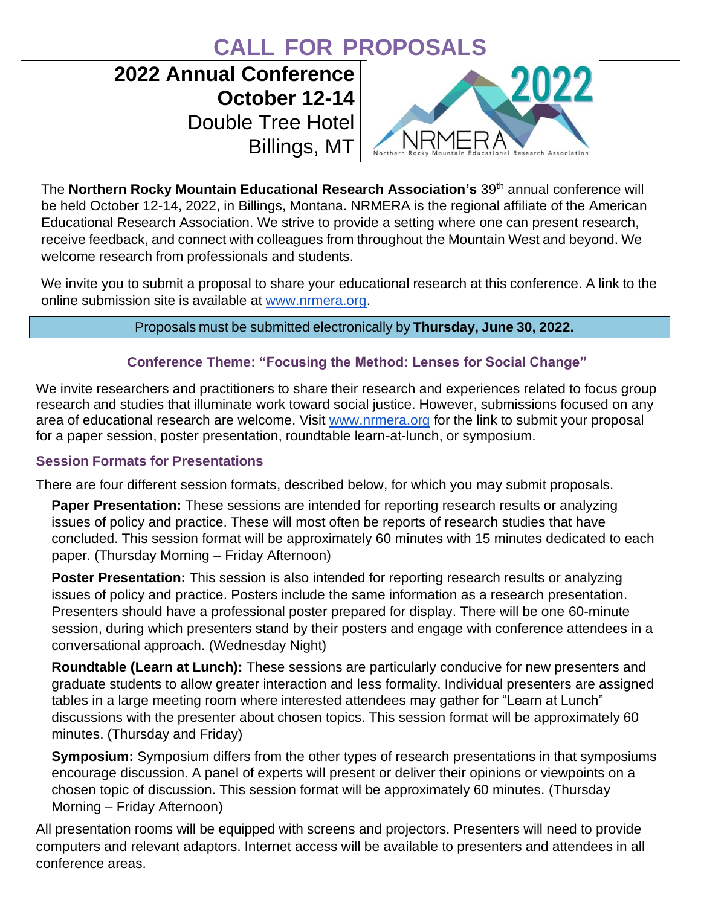# **CALL FOR PROPOSALS**

# **2022 Annual Conference October 12-14** Double Tree Hotel Billings, MT



The Northern Rocky Mountain Educational Research Association's 39<sup>th</sup> annual conference will be held October 12-14, 2022, in Billings, Montana. NRMERA is the regional affiliate of the American Educational Research Association. We strive to provide a setting where one can present research, receive feedback, and connect with colleagues from throughout the Mountain West and beyond. We welcome research from professionals and students.

We invite you to submit a proposal to share your educational research at this conference. A link to the online submission site is available at [www.nrmera.org.](http://www.nrmera.org/)

#### Proposals must be submitted electronically by **Thursday, June 30, 2022.**

#### **Conference Theme: "Focusing the Method: Lenses for Social Change"**

We invite researchers and practitioners to share their research and experiences related to focus group research and studies that illuminate work toward social justice. However, submissions focused on any area of educational research are welcome. Visit [www.nrmera.org](http://www.nrmera.org/) for the link to submit your proposal for a paper session, poster presentation, roundtable learn-at-lunch, or symposium.

#### **Session Formats for Presentations**

There are four different session formats, described below, for which you may submit proposals.

**Paper Presentation:** These sessions are intended for reporting research results or analyzing issues of policy and practice. These will most often be reports of research studies that have concluded. This session format will be approximately 60 minutes with 15 minutes dedicated to each paper. (Thursday Morning – Friday Afternoon)

**Poster Presentation:** This session is also intended for reporting research results or analyzing issues of policy and practice. Posters include the same information as a research presentation. Presenters should have a professional poster prepared for display. There will be one 60-minute session, during which presenters stand by their posters and engage with conference attendees in a conversational approach. (Wednesday Night)

**Roundtable (Learn at Lunch):** These sessions are particularly conducive for new presenters and graduate students to allow greater interaction and less formality. Individual presenters are assigned tables in a large meeting room where interested attendees may gather for "Learn at Lunch" discussions with the presenter about chosen topics. This session format will be approximately 60 minutes. (Thursday and Friday)

**Symposium:** Symposium differs from the other types of research presentations in that symposiums encourage discussion. A panel of experts will present or deliver their opinions or viewpoints on a chosen topic of discussion. This session format will be approximately 60 minutes. (Thursday Morning – Friday Afternoon)

All presentation rooms will be equipped with screens and projectors. Presenters will need to provide computers and relevant adaptors. Internet access will be available to presenters and attendees in all conference areas.